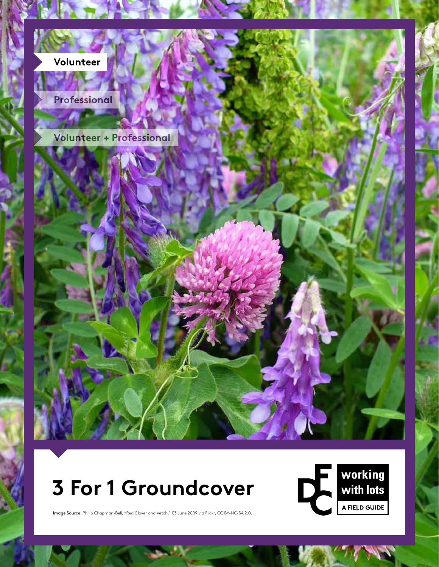

**DRAFT COPY** Cover Image Source: Philip Chapman-Bell., "Red Clover and Vetch." 03 June 2009 via Flickr, CC BY-NC-SA 2.0

# **3 For 1 Groundcover**



Image Source: Philip Chapman-Bell, "Red Clover and Vetch." 03 June 2009 via Flickr, CC BY-NC-SA 2.0.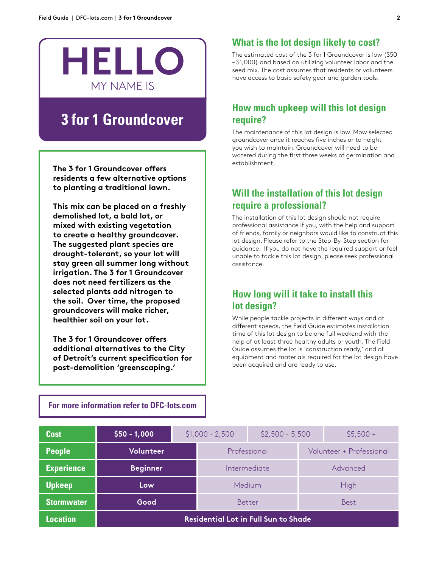

## **3 for 1 Groundcover**

**The 3 for 1 Groundcover offers residents a few alternative options to planting a traditional lawn.** 

**This mix can be placed on a freshly demolished lot, a bald lot, or mixed with existing vegetation to create a healthy groundcover. The suggested plant species are drought-tolerant, so your lot will stay green all summer long without irrigation. The 3 for 1 Groundcover does not need fertilizers as the selected plants add nitrogen to the soil. Over time, the proposed groundcovers will make richer, healthier soil on your lot.**

**The 3 for 1 Groundcover offers additional alternatives to the City of Detroit's current specification for post-demolition 'greenscaping.'**

## **What is the lot design likely to cost?**

The estimated cost of the 3 for 1 Groundcover is low (\$50 – \$1,000) and based on utilizing volunteer labor and the seed mix. The cost assumes that residents or volunteers have access to basic safety gear and garden tools.

## **How much upkeep will this lot design require?**

The maintenance of this lot design is low. Mow selected groundcover once it reaches five inches or to height you wish to maintain. Groundcover will need to be watered during the first three weeks of germination and establishment.

## **Will the installation of this lot design require a professional?**

The installation of this lot design should not require professional assistance if you, with the help and support of friends, family or neighbors would like to construct this lot design. Please refer to the Step-By-Step section for guidance. If you do not have the required support or feel unable to tackle this lot design, please seek professional assistance.

## **How long will it take to install this lot design?**

While people tackle projects in different ways and at different speeds, the Field Guide estimates installation time of this lot design to be one full weekend with the help of at least three healthy adults or youth. The Field Guide assumes the lot is 'construction ready,' and all equipment and materials required for the lot design have been acquired and are ready to use.

| <b>Cost</b>       | $$50 - 1,000$                               | $$1,000 - 2,500$ |              | $$2,500 - 5,500$ |                          | $$5,500 +$  |  |
|-------------------|---------------------------------------------|------------------|--------------|------------------|--------------------------|-------------|--|
| <b>People</b>     | Volunteer                                   |                  | Professional |                  | Volunteer + Professional |             |  |
| <b>Experience</b> | <b>Beginner</b>                             |                  | Intermediate |                  |                          | Advanced    |  |
| <b>Upkeep</b>     | Low                                         |                  |              | Medium           | High                     |             |  |
| <b>Stormwater</b> | Good                                        |                  | Better       |                  |                          | <b>Best</b> |  |
| <b>Location</b>   | <b>Residential Lot in Full Sun to Shade</b> |                  |              |                  |                          |             |  |

**For more information refer to DFC-lots.com**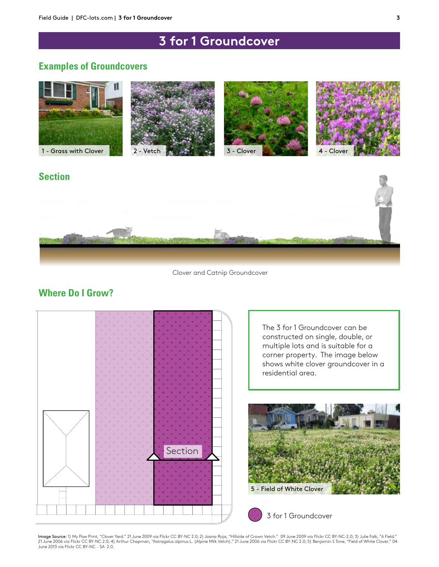## **3 for 1 Groundcover**

## **Examples of Groundcovers**



## **Section**



Clover and Catnip Groundcover

## **Where Do I Grow?**



The 3 for 1 Groundcover can be constructed on single, double, or multiple lots and is suitable for a corner property. The image below shows white clover groundcover in a residential area.



3 for 1 Groundcover

Image Source: 1) My Paw Print, "Clover Yard." 21 June 2009 via Flickr CC BY-NC 2.0; 2) Joana Roja, "Hillside of Crown Vetch." 09 June 2009 via Flickr CC BY-NC-2.0; 3) Julie Falk, "6 Field." 21 June 2006 via Flickr CC BY-NC 2.0; 4) Arthur Chapman, "Astragalus alpinus L. (Alpine Milk Vetch)." 21 June 2006 via Flickr CC BY-NC 2.0; 5) Benjamin S Tone, "Field of White Clover." 04<br>June 2013 via Flickr CC BY-NC - SA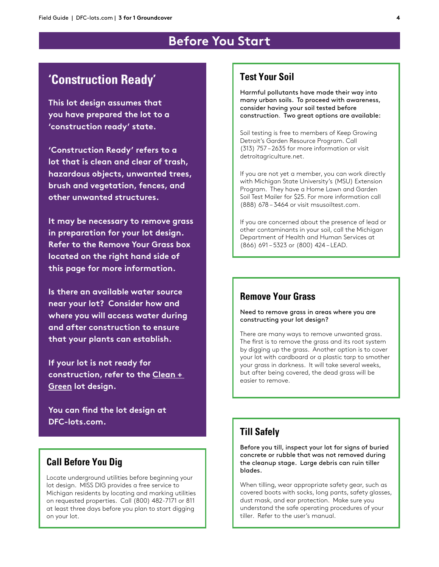## **Before You Start**

## **'Construction Ready'**

**This lot design assumes that you have prepared the lot to a 'construction ready' state.**

**'Construction Ready' refers to a lot that is clean and clear of trash, hazardous objects, unwanted trees, brush and vegetation, fences, and other unwanted structures.** 

**It may be necessary to remove grass in preparation for your lot design. Refer to the Remove Your Grass box located on the right hand side of this page for more information.**

**Is there an available water source near your lot? Consider how and where you will access water during and after construction to ensure that your plants can establish.** 

**If your lot is not ready for construction, refer to the Clean + Green lot design.**

**You can find the lot design at DFC-lots.com.**

#### **Call Before You Dig**

Locate underground utilities before beginning your lot design. MISS DIG provides a free service to Michigan residents by locating and marking utilities on requested properties. Call (800) 482-7171 or 811 at least three days before you plan to start digging on your lot.

#### **Test Your Soil**

Harmful pollutants have made their way into many urban soils. To proceed with awareness, consider having your soil tested before construction. Two great options are available:

Soil testing is free to members of Keep Growing Detroit's Garden Resource Program. Call (313) 757 – 2635 for more information or visit detroitagriculture.net.

If you are not yet a member, you can work directly with Michigan State University's (MSU) Extension Program. They have a Home Lawn and Garden Soil Test Mailer for \$25. For more information call (888) 678 – 3464 or visit msusoiltest.com.

If you are concerned about the presence of lead or other contaminants in your soil, call the Michigan Department of Health and Human Services at (866) 691 – 5323 or (800) 424 – LEAD.

## **Remove Your Grass**

Need to remove grass in areas where you are constructing your lot design?

There are many ways to remove unwanted grass. The first is to remove the grass and its root system by digging up the grass. Another option is to cover your lot with cardboard or a plastic tarp to smother your grass in darkness. It will take several weeks, but after being covered, the dead grass will be easier to remove.

#### **Till Safely**

Before you till, inspect your lot for signs of buried concrete or rubble that was not removed during the cleanup stage. Large debris can ruin tiller blades.

When tilling, wear appropriate safety gear, such as covered boots with socks, long pants, safety glasses, dust mask, and ear protection. Make sure you understand the safe operating procedures of your tiller. Refer to the user's manual.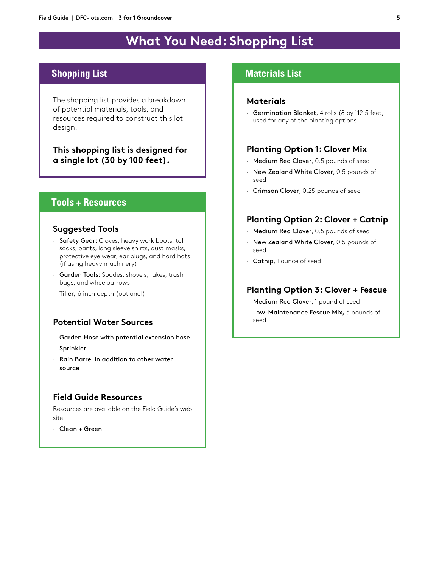## **What You Need: Shopping List**

## **Shopping List**

The shopping list provides a breakdown of potential materials, tools, and resources required to construct this lot design.

**This shopping list is designed for a single lot (30 by 100 feet).**

#### **Tools + Resources**

#### **Suggested Tools**

- · Safety Gear: Gloves, heavy work boots, tall socks, pants, long sleeve shirts, dust masks, protective eye wear, ear plugs, and hard hats (if using heavy machinery)
- · Garden Tools: Spades, shovels, rakes, trash bags, and wheelbarrows
- · Tiller, 6 inch depth (optional)

#### **Potential Water Sources**

- · Garden Hose with potential extension hose
- · Sprinkler
- · Rain Barrel in addition to other water source

#### **Field Guide Resources**

Resources are available on the Field Guide's web site.

· Clean + Green

#### **Materials List**

#### **Materials**

· Germination Blanket, 4 rolls (8 by 112.5 feet, used for any of the planting options

#### **Planting Option 1: Clover Mix**

- · Medium Red Clover, 0.5 pounds of seed
- · New Zealand White Clover, 0.5 pounds of seed
- · Crimson Clover, 0.25 pounds of seed

#### **Planting Option 2: Clover + Catnip**

- · Medium Red Clover, 0.5 pounds of seed
- · New Zealand White Clover, 0.5 pounds of seed
- · Catnip, 1 ounce of seed

#### **Planting Option 3: Clover + Fescue**

- · Medium Red Clover, 1 pound of seed
- · Low-Maintenance Fescue Mix**,** 5 pounds of seed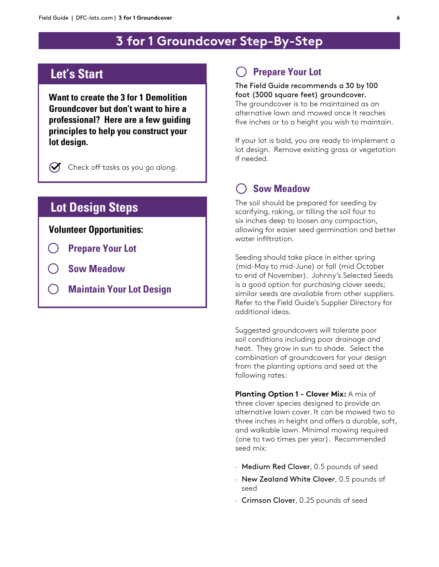## **3 for 1 Groundcover Step-By-Step**

## **Let's Start**

**Want to create the 3 for 1 Demolition Groundcover but don't want to hire a professional? Here are a few guiding principles to help you construct your lot design.**



Check off tasks as you go along.

## **Lot Design Steps**

#### **Volunteer Opportunities:**

- **Prepare Your Lot**
- **Sow Meadow**
- **Maintain Your Lot Design**

#### **Prepare Your Lot**

#### The Field Guide recommends a 30 by 100 foot (3000 square feet) groundcover. The groundcover is to be maintained as an alternative lawn and mowed once it reaches

five inches or to a height you wish to maintain.

If your lot is bald, you are ready to implement a lot design. Remove existing grass or vegetation if needed.

## **Sow Meadow**

The soil should be prepared for seeding by scarifying, raking, or tilling the soil four to six inches deep to loosen any compaction, allowing for easier seed germination and better water infiltration.

Seeding should take place in either spring (mid-May to mid-June) or fall (mid October to end of November). Johnny's Selected Seeds is a good option for purchasing clover seeds; similar seeds are available from other suppliers. Refer to the Field Guide's Supplier Directory for additional ideas.

Suggested groundcovers will tolerate poor soil conditions including poor drainage and heat. They grow in sun to shade. Select the combination of groundcovers for your design from the planting options and seed at the following rates:

**Planting Option 1 - Clover Mix:** A mix of three clover species designed to provide an alternative lawn cover. It can be mowed two to three inches in height and offers a durable, soft, and walkable lawn. Minimal mowing required (one to two times per year). Recommended seed mix:

- · Medium Red Clover, 0.5 pounds of seed
- · New Zealand White Clover, 0.5 pounds of seed
- · Crimson Clover, 0.25 pounds of seed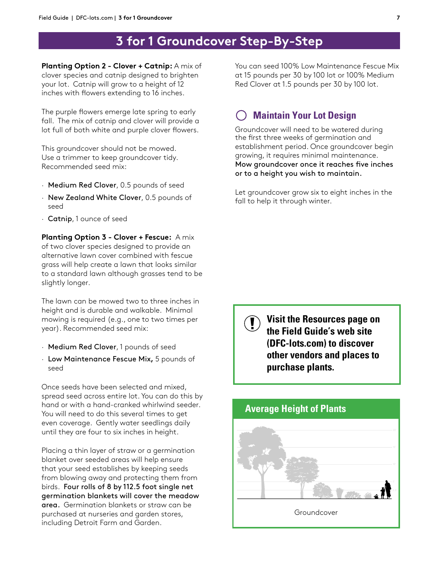## **3 for 1 Groundcover Step-By-Step**

**Planting Option 2 - Clover + Catnip:** A mix of clover species and catnip designed to brighten your lot. Catnip will grow to a height of 12 inches with flowers extending to 16 inches.

The purple flowers emerge late spring to early fall. The mix of catnip and clover will provide a lot full of both white and purple clover flowers.

This groundcover should not be mowed. Use a trimmer to keep groundcover tidy. Recommended seed mix:

- · Medium Red Clover, 0.5 pounds of seed
- · New Zealand White Clover, 0.5 pounds of seed
- · Catnip, 1 ounce of seed

**Planting Option 3 - Clover + Fescue:** A mix of two clover species designed to provide an alternative lawn cover combined with fescue grass will help create a lawn that looks similar to a standard lawn although grasses tend to be slightly longer.

The lawn can be mowed two to three inches in height and is durable and walkable. Minimal mowing is required (e.g., one to two times per year). Recommended seed mix:

- · Medium Red Clover, 1 pounds of seed
- · Low Maintenance Fescue Mix**,** 5 pounds of seed

Once seeds have been selected and mixed, spread seed across entire lot. You can do this by hand or with a hand-cranked whirlwind seeder. You will need to do this several times to get even coverage. Gently water seedlings daily until they are four to six inches in height.

Placing a thin layer of straw or a germination blanket over seeded areas will help ensure that your seed establishes by keeping seeds from blowing away and protecting them from birds. Four rolls of 8 by 112.5 foot single net germination blankets will cover the meadow area. Germination blankets or straw can be purchased at nurseries and garden stores, including Detroit Farm and Garden.

You can seed 100% Low Maintenance Fescue Mix at 15 pounds per 30 by 100 lot or 100% Medium Red Clover at 1.5 pounds per 30 by 100 lot.

## **Maintain Your Lot Design**

Groundcover will need to be watered during the first three weeks of germination and establishment period. Once groundcover begin growing, it requires minimal maintenance. Mow groundcover once it reaches five inches or to a height you wish to maintain.

Let groundcover grow six to eight inches in the fall to help it through winter.

**Visit the Resources page on the Field Guide's web site (DFC-lots.com) to discover other vendors and places to purchase plants.**

# Groundcover **Average Height of Plants**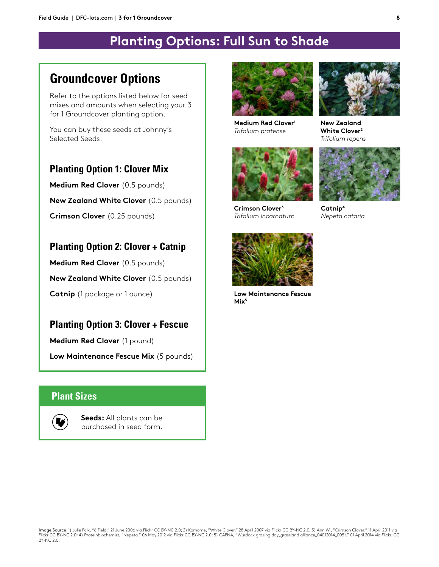## **Planting Options: Full Sun to Shade**

## **Groundcover Options**

Refer to the options listed below for seed mixes and amounts when selecting your 3 for 1 Groundcover planting option.

You can buy these seeds at Johnny's Selected Seeds.

## **Planting Option 1: Clover Mix**

**Medium Red Clover** (0.5 pounds)

**New Zealand White Clover** (0.5 pounds)

**Crimson Clover** (0.25 pounds)

## **Planting Option 2: Clover + Catnip**

**Medium Red Clover** (0.5 pounds) **New Zealand White Clover** (0.5 pounds) **Catnip** (1 package or 1 ounce)

## **Planting Option 3: Clover + Fescue**

**Medium Red Clover** (1 pound)

**Low Maintenance Fescue Mix** (5 pounds)

#### **Plant Sizes**



**Seeds:** All plants can be purchased in seed form.



**Medium Red Clover1** *Trifolium pratense*



**Crimson Clover3**  *Trifolium incarnatum*



**New Zealand White Clover2** *Trifolium repens*



**Catnip4** *Nepeta cataria*



**Low Maintenance Fescue Mix5**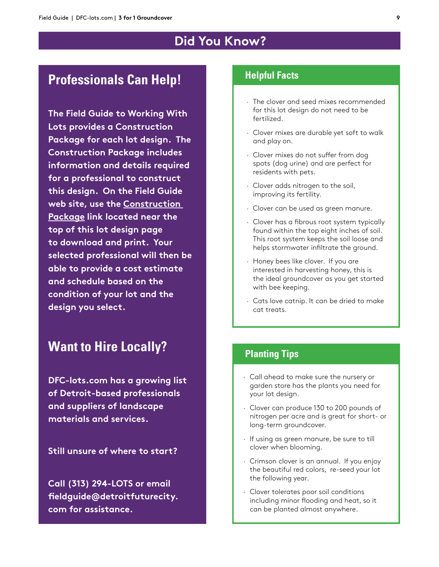## **Did You Know?**

## **Professionals Can Help! Helpful Facts**

**The Field Guide to Working With Lots provides a Construction Package for each lot design. The Construction Package includes information and details required for a professional to construct this design. On the Field Guide web site, use the Construction Package link located near the top of this lot design page to download and print. Your selected professional will then be able to provide a cost estimate and schedule based on the condition of your lot and the design you select.**

## **Want to Hire Locally?**

**DFC-lots.com has a growing list of Detroit-based professionals and suppliers of landscape materials and services.**

**Still unsure of where to start?** 

**Call (313) 294-LOTS or email fieldguide@detroitfuturecity. com for assistance.**

- · The clover and seed mixes recommended for this lot design do not need to be fertilized.
- · Clover mixes are durable yet soft to walk and play on.
- · Clover mixes do not suffer from dog spots (dog urine) and are perfect for residents with pets.
- · Clover adds nitrogen to the soil, improving its fertility.
- · Clover can be used as green manure.
- · Clover has a fibrous root system typically found within the top eight inches of soil. This root system keeps the soil loose and helps stormwater infiltrate the ground.
- · Honey bees like clover. If you are interested in harvesting honey, this is the ideal groundcover as you get started with bee keeping.
- · Cats love catnip. It can be dried to make cat treats.

#### **Planting Tips**

- · Call ahead to make sure the nursery or garden store has the plants you need for your lot design.
- · Clover can produce 130 to 200 pounds of nitrogen per acre and is great for short- or long-term groundcover.
- · If using as green manure, be sure to till clover when blooming.
- · Crimson clover is an annual. If you enjoy the beautiful red colors, re-seed your lot the following year.
- · Clover tolerates poor soil conditions including minor flooding and heat, so it can be planted almost anywhere.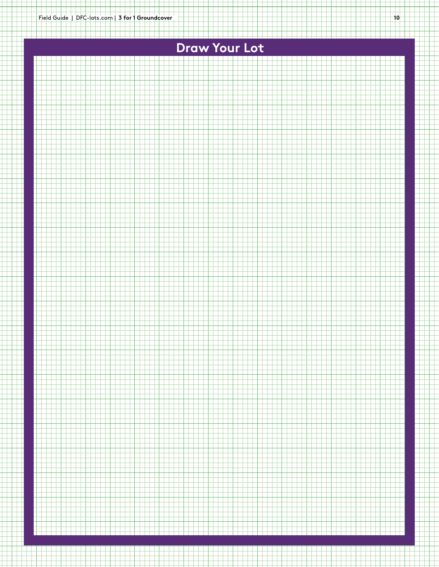## **Draw Your Lot**



<u>minsissi m</u>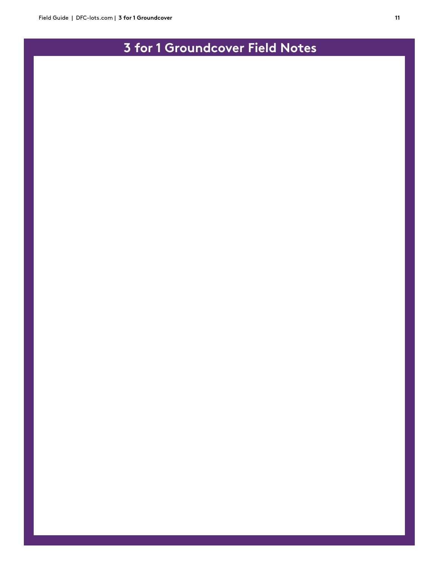## **3 for 1 Groundcover Field Notes**